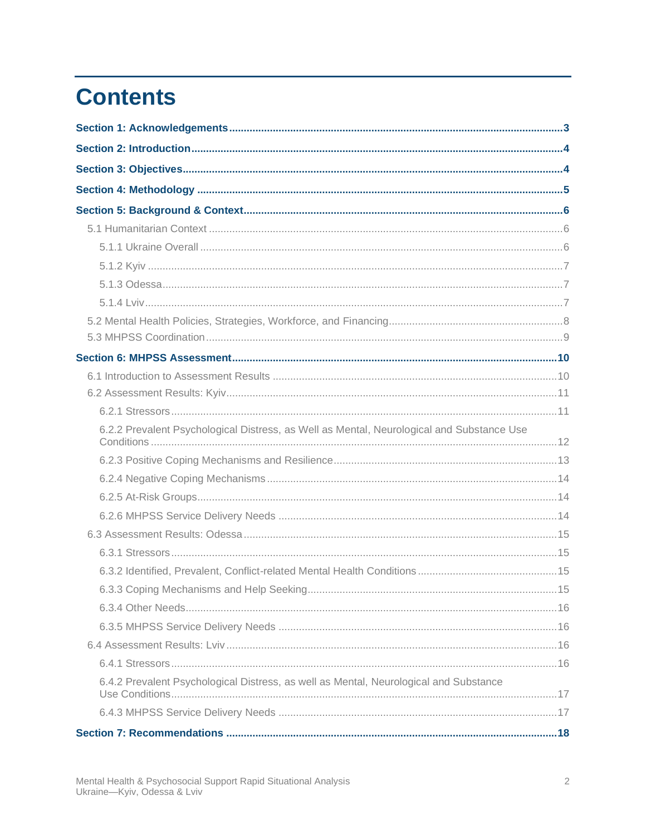# **Contents**

| 6.2.2 Prevalent Psychological Distress, as Well as Mental, Neurological and Substance Use |  |
|-------------------------------------------------------------------------------------------|--|
|                                                                                           |  |
|                                                                                           |  |
|                                                                                           |  |
|                                                                                           |  |
|                                                                                           |  |
|                                                                                           |  |
|                                                                                           |  |
|                                                                                           |  |
|                                                                                           |  |
|                                                                                           |  |
|                                                                                           |  |
|                                                                                           |  |
| 6.4.2 Prevalent Psychological Distress, as well as Mental, Neurological and Substance     |  |
|                                                                                           |  |
|                                                                                           |  |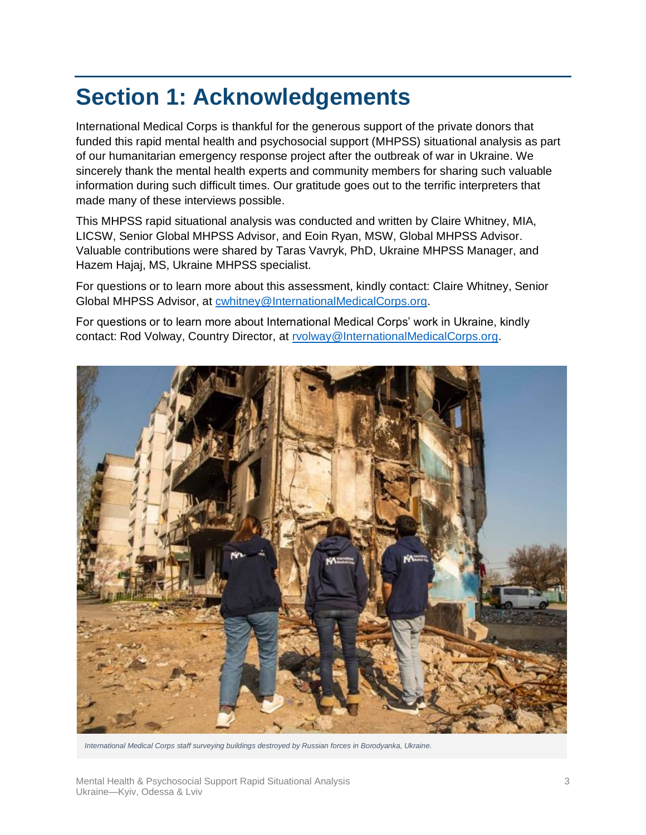# <span id="page-2-0"></span>**Section 1: Acknowledgements**

International Medical Corps is thankful for the generous support of the private donors that funded this rapid mental health and psychosocial support (MHPSS) situational analysis as part of our humanitarian emergency response project after the outbreak of war in Ukraine. We sincerely thank the mental health experts and community members for sharing such valuable information during such difficult times. Our gratitude goes out to the terrific interpreters that made many of these interviews possible.

This MHPSS rapid situational analysis was conducted and written by Claire Whitney, MIA, LICSW, Senior Global MHPSS Advisor, and Eoin Ryan, MSW, Global MHPSS Advisor. Valuable contributions were shared by Taras Vavryk, PhD, Ukraine MHPSS Manager, and Hazem Hajaj, MS, Ukraine MHPSS specialist.

For questions or to learn more about this assessment, kindly contact: Claire Whitney, Senior Global MHPSS Advisor, at [cwhitney@InternationalMedicalCorps.org.](mailto:cwhitney@InternationalMedicalCorps.org?subject=Questions%20about%20the%20Ukraine%20Assessment)

For questions or to learn more about International Medical Corps' work in Ukraine, kindly contact: Rod Volway, Country Director, at [rvolway@InternationalMedicalCorps.org.](mailto:rvolway@InternationalMedicalCorps.org?subject=Questions%20about%20IMC%20in%20Ukraine)



*International Medical Corps staff surveying buildings destroyed by Russian forces in Borodyanka, Ukraine.*

Mental Health & Psychosocial Support Rapid Situational Analysis Ukraine—Kyiv, Odessa & Lviv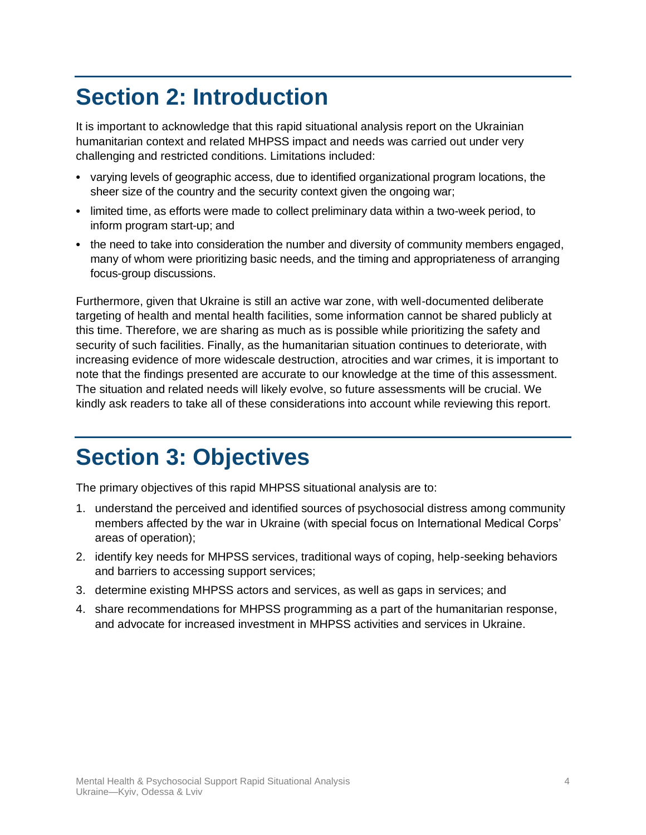# <span id="page-3-0"></span>**Section 2: Introduction**

It is important to acknowledge that this rapid situational analysis report on the Ukrainian humanitarian context and related MHPSS impact and needs was carried out under very challenging and restricted conditions. Limitations included:

- varying levels of geographic access, due to identified organizational program locations, the sheer size of the country and the security context given the ongoing war;
- limited time, as efforts were made to collect preliminary data within a two-week period, to inform program start-up; and
- the need to take into consideration the number and diversity of community members engaged, many of whom were prioritizing basic needs, and the timing and appropriateness of arranging focus-group discussions.

Furthermore, given that Ukraine is still an active war zone, with well-documented deliberate targeting of health and mental health facilities, some information cannot be shared publicly at this time. Therefore, we are sharing as much as is possible while prioritizing the safety and security of such facilities. Finally, as the humanitarian situation continues to deteriorate, with increasing evidence of more widescale destruction, atrocities and war crimes, it is important to note that the findings presented are accurate to our knowledge at the time of this assessment. The situation and related needs will likely evolve, so future assessments will be crucial. We kindly ask readers to take all of these considerations into account while reviewing this report.

# <span id="page-3-1"></span>**Section 3: Objectives**

The primary objectives of this rapid MHPSS situational analysis are to:

- 1. understand the perceived and identified sources of psychosocial distress among community members affected by the war in Ukraine (with special focus on International Medical Corps' areas of operation);
- 2. identify key needs for MHPSS services, traditional ways of coping, help-seeking behaviors and barriers to accessing support services;
- 3. determine existing MHPSS actors and services, as well as gaps in services; and
- 4. share recommendations for MHPSS programming as a part of the humanitarian response, and advocate for increased investment in MHPSS activities and services in Ukraine.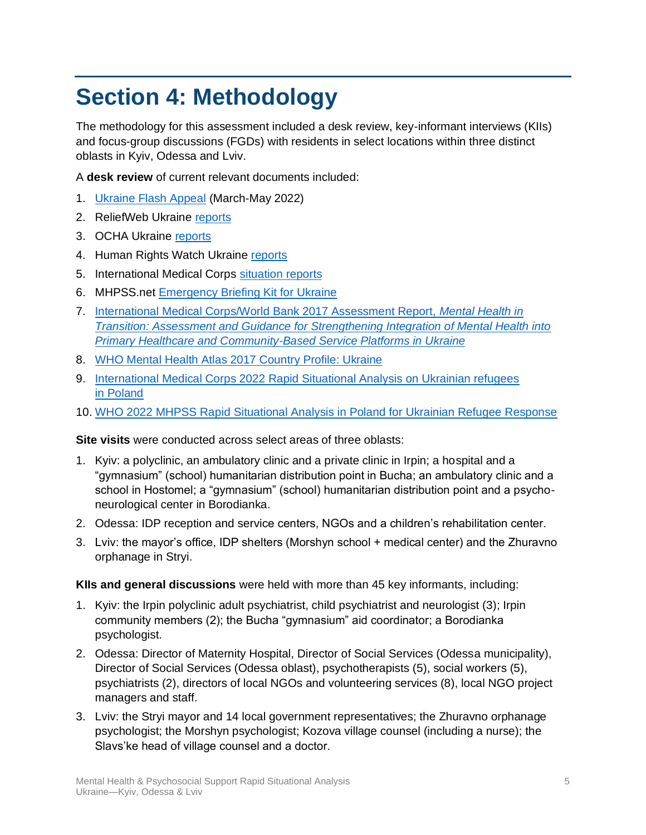# <span id="page-4-0"></span>**Section 4: Methodology**

The methodology for this assessment included a desk review, key-informant interviews (KIIs) and focus-group discussions (FGDs) with residents in select locations within three distinct oblasts in Kyiv, Odessa and Lviv.

A **desk review** of current relevant documents included:

- 1. [Ukraine Flash Appeal](https://reliefweb.int/report/ukraine/ukraine-flash-appeal-march-may-2022-enukru) (March-May 2022)
- 2. ReliefWeb Ukraine [reports](https://reliefweb.int/country/ukr)
- 3. OCHA Ukraine [reports](https://www.unocha.org/ukraine)
- 4. Human Rights Watch Ukraine [reports](https://www.hrw.org/europe/central-asia/ukraine)
- 5. International Medical Corps [situation reports](https://internationalmedicalcorps.org/emergency-response/war-in-ukraine/#resources)
- 6. MHPSS.net [Emergency Briefing Kit for Ukraine](https://app.mhpss.net/emergency_briefing_kit_for_ukraine_crisis_2022)
- 7. [International Medical Corps/World Bank 2017 Assessment Report,](https://documents1.worldbank.org/curated/en/310711509516280173/pdf/120767-WP-Revised-WBGUkraineMentalHealthFINALwebvpdfnov.pdf) *Mental Health in [Transition: Assessment and Guidance for Strengthening Integration of Mental Health into](https://documents1.worldbank.org/curated/en/310711509516280173/pdf/120767-WP-Revised-WBGUkraineMentalHealthFINALwebvpdfnov.pdf)  [Primary Healthcare and Community-Based Service Platforms in Ukraine](https://documents1.worldbank.org/curated/en/310711509516280173/pdf/120767-WP-Revised-WBGUkraineMentalHealthFINALwebvpdfnov.pdf)*
- 8. [WHO Mental Health Atlas 2017 Country Profile: Ukraine](https://www.who.int/publications/m/item/mental-health-atlas-2017-country-profile-ukraine)
- 9. [International Medical Corps 2022 Rapid Situational Analysis on Ukrainian refugees](https://internationalmedicalcorps.org/wp-content/uploads/2022/04/2022_IMC-Poland-MHPSS-Rapid-Needs-Assessment.pdf) [in Poland](https://internationalmedicalcorps.org/wp-content/uploads/2022/04/2022_IMC-Poland-MHPSS-Rapid-Needs-Assessment.pdf)
- 10. [WHO 2022 MHPSS Rapid Situational Analysis in Poland for Ukrainian Refugee Response](https://data2.unhcr.org/en/documents/details/92211)

**Site visits** were conducted across select areas of three oblasts:

- 1. Kyiv: a polyclinic, an ambulatory clinic and a private clinic in Irpin; a hospital and a "gymnasium" (school) humanitarian distribution point in Bucha; an ambulatory clinic and a school in Hostomel; a "gymnasium" (school) humanitarian distribution point and a psychoneurological center in Borodianka.
- 2. Odessa: IDP reception and service centers, NGOs and a children's rehabilitation center.
- 3. Lviv: the mayor's office, IDP shelters (Morshyn school + medical center) and the Zhuravno orphanage in Stryi.

**KIIs and general discussions** were held with more than 45 key informants, including:

- 1. Kyiv: the Irpin polyclinic adult psychiatrist, child psychiatrist and neurologist (3); Irpin community members (2); the Bucha "gymnasium" aid coordinator; a Borodianka psychologist.
- 2. Odessa: Director of Maternity Hospital, Director of Social Services (Odessa municipality), Director of Social Services (Odessa oblast), psychotherapists (5), social workers (5), psychiatrists (2), directors of local NGOs and volunteering services (8), local NGO project managers and staff.
- 3. Lviv: the Stryi mayor and 14 local government representatives; the Zhuravno orphanage psychologist; the Morshyn psychologist; Kozova village counsel (including a nurse); the Slavs'ke head of village counsel and a doctor.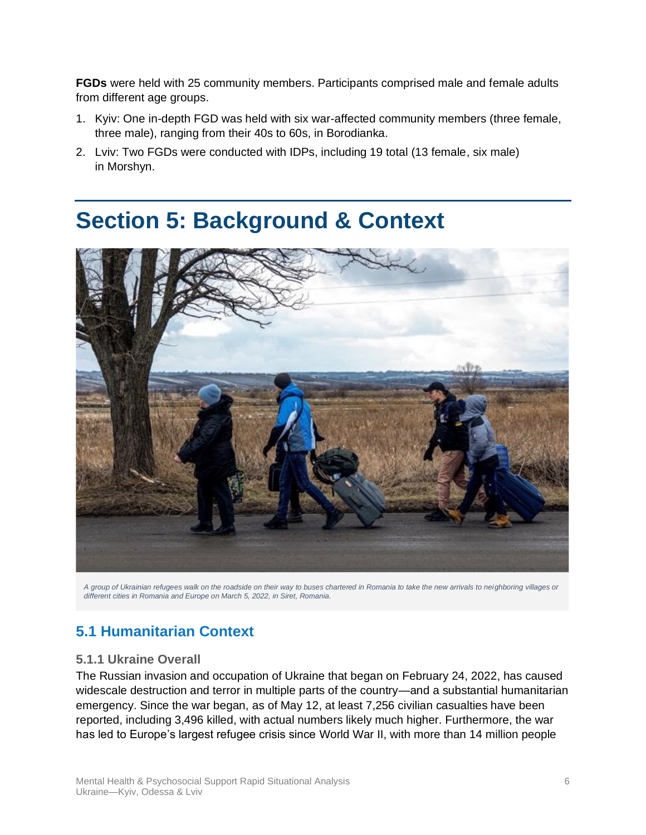**FGDs** were held with 25 community members. Participants comprised male and female adults from different age groups.

- 1. Kyiv: One in-depth FGD was held with six war-affected community members (three female, three male), ranging from their 40s to 60s, in Borodianka.
- 2. Lviv: Two FGDs were conducted with IDPs, including 19 total (13 female, six male) in Morshyn.

# <span id="page-5-0"></span>**Section 5: Background & Context**



*A group of Ukrainian refugees walk on the roadside on their way to buses chartered in Romania to take the new arrivals to neighboring villages or different cities in Romania and Europe on March 5, 2022, in Siret, Romania.*

# <span id="page-5-1"></span>**5.1 Humanitarian Context**

## <span id="page-5-2"></span>**5.1.1 Ukraine Overall**

The Russian invasion and occupation of Ukraine that began on February 24, 2022, has caused widescale destruction and terror in multiple parts of the country—and a substantial humanitarian emergency. Since the war began, as of May 12, at least 7,256 civilian casualties have been reported, including 3,496 killed, with actual numbers likely much higher. Furthermore, the war has led to Europe's largest refugee crisis since World War II, with more than 14 million people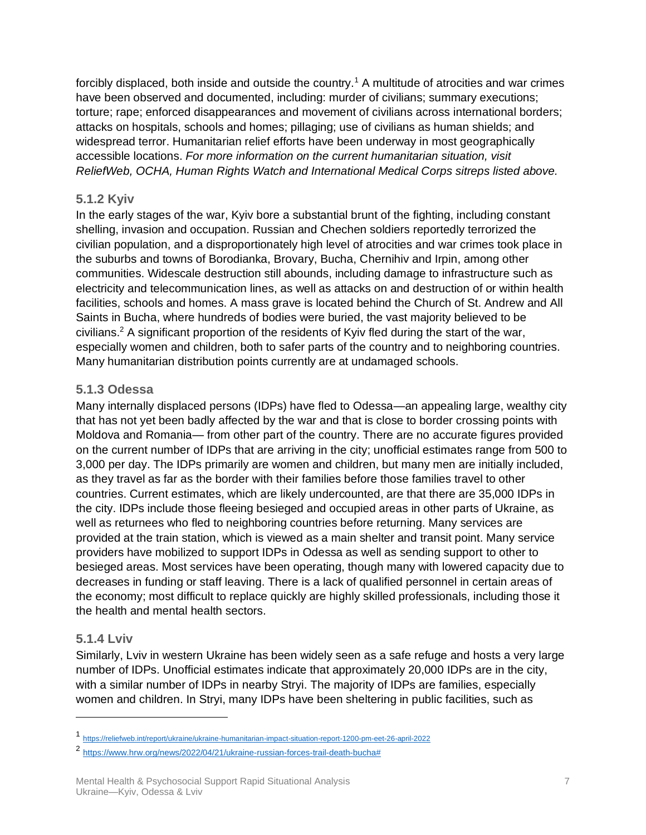forcibly displaced, both inside and outside the country.<sup>1</sup> A multitude of atrocities and war crimes have been observed and documented, including: murder of civilians; summary executions; torture; rape; enforced disappearances and movement of civilians across international borders; attacks on hospitals, schools and homes; pillaging; use of civilians as human shields; and widespread terror. Humanitarian relief efforts have been underway in most geographically accessible locations. *For more information on the current humanitarian situation, visit ReliefWeb, OCHA, Human Rights Watch and International Medical Corps sitreps listed above.*

## <span id="page-6-0"></span>**5.1.2 Kyiv**

In the early stages of the war, Kyiv bore a substantial brunt of the fighting, including constant shelling, invasion and occupation. Russian and Chechen soldiers reportedly terrorized the civilian population, and a disproportionately high level of atrocities and war crimes took place in the suburbs and towns of Borodianka, Brovary, Bucha, Chernihiv and Irpin, among other communities. Widescale destruction still abounds, including damage to infrastructure such as electricity and telecommunication lines, as well as attacks on and destruction of or within health facilities, schools and homes. A mass grave is located behind the Church of St. Andrew and All Saints in Bucha, where hundreds of bodies were buried, the vast majority believed to be civilians.<sup>2</sup> A significant proportion of the residents of Kyiv fled during the start of the war, especially women and children, both to safer parts of the country and to neighboring countries. Many humanitarian distribution points currently are at undamaged schools.

## <span id="page-6-1"></span>**5.1.3 Odessa**

Many internally displaced persons (IDPs) have fled to Odessa—an appealing large, wealthy city that has not yet been badly affected by the war and that is close to border crossing points with Moldova and Romania— from other part of the country. There are no accurate figures provided on the current number of IDPs that are arriving in the city; unofficial estimates range from 500 to 3,000 per day. The IDPs primarily are women and children, but many men are initially included, as they travel as far as the border with their families before those families travel to other countries. Current estimates, which are likely undercounted, are that there are 35,000 IDPs in the city. IDPs include those fleeing besieged and occupied areas in other parts of Ukraine, as well as returnees who fled to neighboring countries before returning. Many services are provided at the train station, which is viewed as a main shelter and transit point. Many service providers have mobilized to support IDPs in Odessa as well as sending support to other to besieged areas. Most services have been operating, though many with lowered capacity due to decreases in funding or staff leaving. There is a lack of qualified personnel in certain areas of the economy; most difficult to replace quickly are highly skilled professionals, including those it the health and mental health sectors.

## <span id="page-6-2"></span>**5.1.4 Lviv**

Similarly, Lviv in western Ukraine has been widely seen as a safe refuge and hosts a very large number of IDPs. Unofficial estimates indicate that approximately 20,000 IDPs are in the city, with a similar number of IDPs in nearby Stryi. The majority of IDPs are families, especially women and children. In Stryi, many IDPs have been sheltering in public facilities, such as

<sup>1</sup> <https://reliefweb.int/report/ukraine/ukraine-humanitarian-impact-situation-report-1200-pm-eet-26-april-2022>

<sup>&</sup>lt;sup>2</sup> [https://www.hrw.org/news/2022/04/21/ukraine-russian-forces-trail-death-bucha#](https://www.hrw.org/news/2022/04/21/ukraine-russian-forces-trail-death-bucha)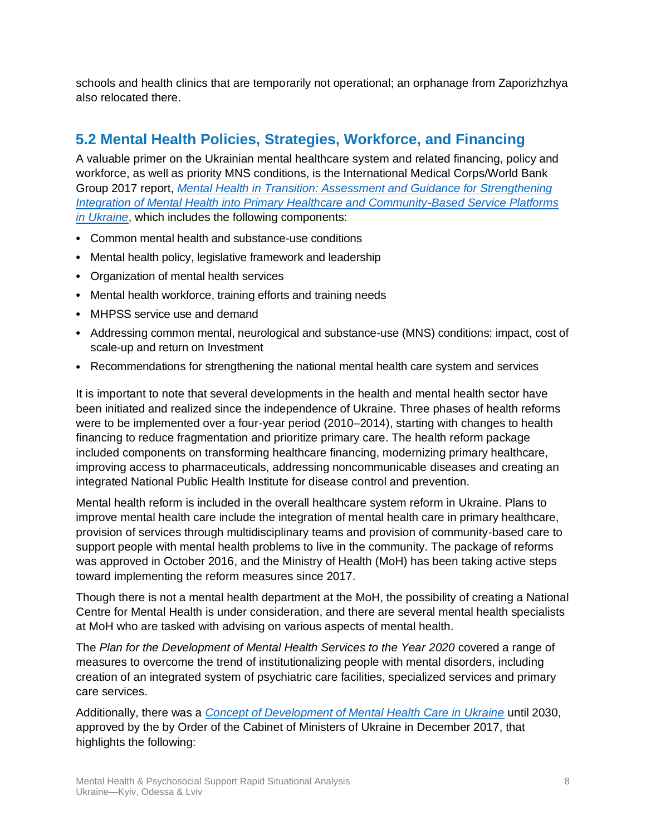schools and health clinics that are temporarily not operational; an orphanage from Zaporizhzhya also relocated there.

# <span id="page-7-0"></span>**5.2 Mental Health Policies, Strategies, Workforce, and Financing**

A valuable primer on the Ukrainian mental healthcare system and related financing, policy and workforce, as well as priority MNS conditions, is the International Medical Corps/World Bank Group 2017 report, *[Mental Health in Transition: Assessment and Guidance for Strengthening](https://documents1.worldbank.org/curated/en/310711509516280173/pdf/120767-WP-Revised-WBGUkraineMentalHealthFINALwebvpdfnov.pdf)  [Integration of Mental Health into Primary Healthcare and Community-Based Service Platforms](https://documents1.worldbank.org/curated/en/310711509516280173/pdf/120767-WP-Revised-WBGUkraineMentalHealthFINALwebvpdfnov.pdf)  [in Ukraine](https://documents1.worldbank.org/curated/en/310711509516280173/pdf/120767-WP-Revised-WBGUkraineMentalHealthFINALwebvpdfnov.pdf)*, which includes the following components:

- Common mental health and substance-use conditions
- Mental health policy, legislative framework and leadership
- Organization of mental health services
- Mental health workforce, training efforts and training needs
- MHPSS service use and demand
- Addressing common mental, neurological and substance-use (MNS) conditions: impact, cost of scale-up and return on Investment
- Recommendations for strengthening the national mental health care system and services

It is important to note that several developments in the health and mental health sector have been initiated and realized since the independence of Ukraine. Three phases of health reforms were to be implemented over a four-year period (2010–2014), starting with changes to health financing to reduce fragmentation and prioritize primary care. The health reform package included components on transforming healthcare financing, modernizing primary healthcare, improving access to pharmaceuticals, addressing noncommunicable diseases and creating an integrated National Public Health Institute for disease control and prevention.

Mental health reform is included in the overall healthcare system reform in Ukraine. Plans to improve mental health care include the integration of mental health care in primary healthcare, provision of services through multidisciplinary teams and provision of community-based care to support people with mental health problems to live in the community. The package of reforms was approved in October 2016, and the Ministry of Health (MoH) has been taking active steps toward implementing the reform measures since 2017.

Though there is not a mental health department at the MoH, the possibility of creating a National Centre for Mental Health is under consideration, and there are several mental health specialists at MoH who are tasked with advising on various aspects of mental health.

The *Plan for the Development of Mental Health Services to the Year 2020* covered a range of measures to overcome the trend of institutionalizing people with mental disorders, including creation of an integrated system of psychiatric care facilities, specialized services and primary care services.

Additionally, there was a *[Concept of Development of Mental Health Care in Ukraine](https://zakon.rada.gov.ua/laws/show/1018-2017-%D1%80?lang=en#Text)* until 2030, approved by the by Order of the Cabinet of Ministers of Ukraine in December 2017, that highlights the following: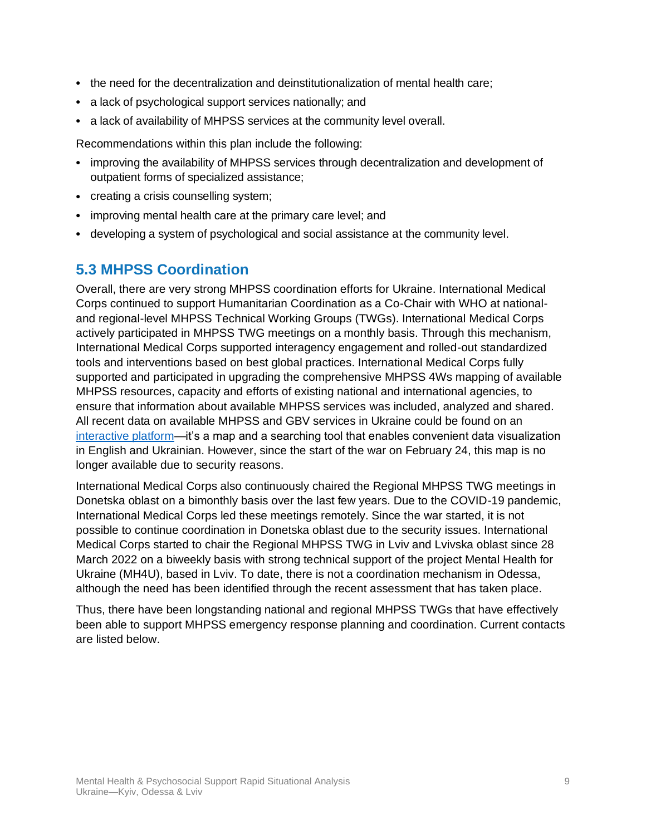- the need for the decentralization and deinstitutionalization of mental health care;
- a lack of psychological support services nationally; and
- a lack of availability of MHPSS services at the community level overall.

Recommendations within this plan include the following:

- improving the availability of MHPSS services through decentralization and development of outpatient forms of specialized assistance;
- creating a crisis counselling system;
- improving mental health care at the primary care level; and
- <span id="page-8-0"></span>• developing a system of psychological and social assistance at the community level.

## **5.3 MHPSS Coordination**

Overall, there are very strong MHPSS coordination efforts for Ukraine. International Medical Corps continued to support Humanitarian Coordination as a Co-Chair with WHO at nationaland regional-level MHPSS Technical Working Groups (TWGs). International Medical Corps actively participated in MHPSS TWG meetings on a monthly basis. Through this mechanism, International Medical Corps supported interagency engagement and rolled-out standardized tools and interventions based on best global practices. International Medical Corps fully supported and participated in upgrading the comprehensive MHPSS 4Ws mapping of available MHPSS resources, capacity and efforts of existing national and international agencies, to ensure that information about available MHPSS services was included, analyzed and shared. All recent data on available MHPSS and GBV services in Ukraine could be found on an [interactive platform—](https://usc-word-edit.officeapps.live.com/we/%E2%80%A2%09https:/www.humanitarianresponse.info/ru/operations/ukraine/mental-health-and-psychosocial-support)it's a map and a searching tool that enables convenient data visualization in English and Ukrainian. However, since the start of the war on February 24, this map is no longer available due to security reasons.

International Medical Corps also continuously chaired the Regional MHPSS TWG meetings in Donetska oblast on a bimonthly basis over the last few years. Due to the COVID-19 pandemic, International Medical Corps led these meetings remotely. Since the war started, it is not possible to continue coordination in Donetska oblast due to the security issues. International Medical Corps started to chair the Regional MHPSS TWG in Lviv and Lvivska oblast since 28 March 2022 on a biweekly basis with strong technical support of the project Mental Health for Ukraine (MH4U), based in Lviv. To date, there is not a coordination mechanism in Odessa, although the need has been identified through the recent assessment that has taken place.

Thus, there have been longstanding national and regional MHPSS TWGs that have effectively been able to support MHPSS emergency response planning and coordination. Current contacts are listed below.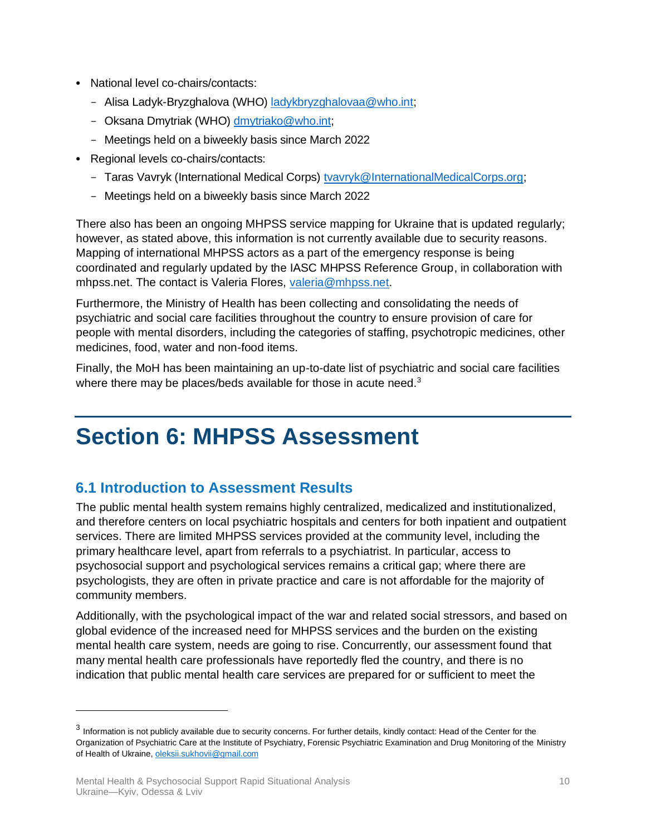- National level co-chairs/contacts:
	- Alisa Ladyk-Bryzghalova (WHO) [ladykbryzghalovaa@who.int;](mailto:mailto:ladykbryzghalovaa@who.int)
	- Oksana Dmytriak (WHO) [dmytriako@who.int;](mailto:dmytriako@who.int)
	- Meetings held on a biweekly basis since March 2022
- Regional levels co-chairs/contacts:
	- Taras Vavryk (International Medical Corps) [tvavryk@InternationalMedicalCorps.org;](mailto:tvavryk@InternationalMedicalCorps.org)
	- Meetings held on a biweekly basis since March 2022

There also has been an ongoing MHPSS service mapping for Ukraine that is updated regularly; however, as stated above, this information is not currently available due to security reasons. Mapping of international MHPSS actors as a part of the emergency response is being coordinated and regularly updated by the IASC MHPSS Reference Group, in collaboration with mhpss.net. The contact is Valeria Flores, [valeria@mhpss.net.](mailto:valeria@mhpss.net)

Furthermore, the Ministry of Health has been collecting and consolidating the needs of psychiatric and social care facilities throughout the country to ensure provision of care for people with mental disorders, including the categories of staffing, psychotropic medicines, other medicines, food, water and non-food items.

Finally, the MoH has been maintaining an up-to-date list of psychiatric and social care facilities where there may be places/beds available for those in acute need.<sup>3</sup>

# <span id="page-9-0"></span>**Section 6: MHPSS Assessment**

# <span id="page-9-1"></span>**6.1 Introduction to Assessment Results**

The public mental health system remains highly centralized, medicalized and institutionalized, and therefore centers on local psychiatric hospitals and centers for both inpatient and outpatient services. There are limited MHPSS services provided at the community level, including the primary healthcare level, apart from referrals to a psychiatrist. In particular, access to psychosocial support and psychological services remains a critical gap; where there are psychologists, they are often in private practice and care is not affordable for the majority of community members.

Additionally, with the psychological impact of the war and related social stressors, and based on global evidence of the increased need for MHPSS services and the burden on the existing mental health care system, needs are going to rise. Concurrently, our assessment found that many mental health care professionals have reportedly fled the country, and there is no indication that public mental health care services are prepared for or sufficient to meet the

 $^3$  Information is not publicly available due to security concerns. For further details, kindly contact: Head of the Center for the Organization of Psychiatric Care at the Institute of Psychiatry, Forensic Psychiatric Examination and Drug Monitoring of the Ministry of Health of Ukraine[, oleksii.sukhovii@gmail.com](mailto:oleksii.sukhovii@gmail.com)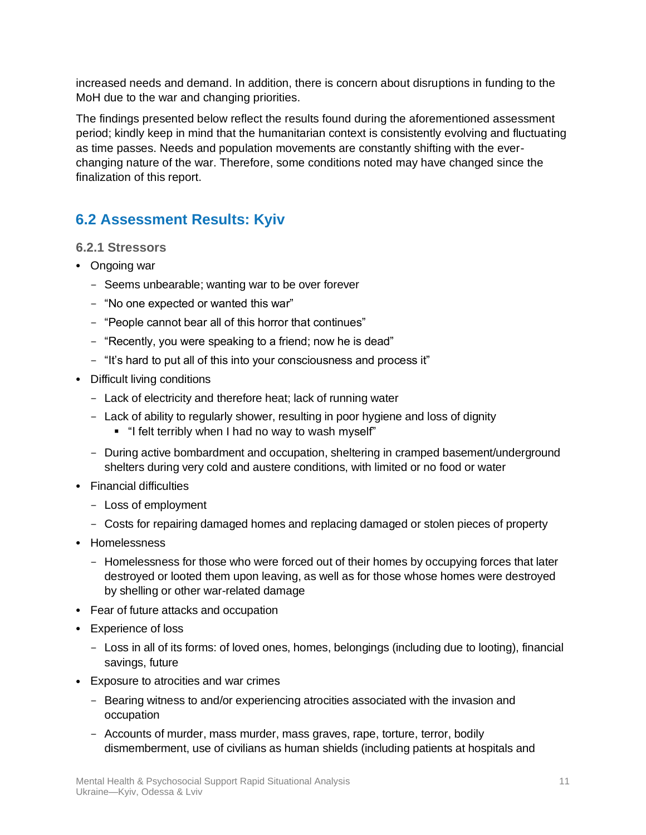increased needs and demand. In addition, there is concern about disruptions in funding to the MoH due to the war and changing priorities.

The findings presented below reflect the results found during the aforementioned assessment period; kindly keep in mind that the humanitarian context is consistently evolving and fluctuating as time passes. Needs and population movements are constantly shifting with the everchanging nature of the war. Therefore, some conditions noted may have changed since the finalization of this report.

# <span id="page-10-0"></span>**6.2 Assessment Results: Kyiv**

#### <span id="page-10-1"></span>**6.2.1 Stressors**

- Ongoing war
	- Seems unbearable; wanting war to be over forever
	- "No one expected or wanted this war"
	- "People cannot bear all of this horror that continues"
	- "Recently, you were speaking to a friend; now he is dead"
	- "It's hard to put all of this into your consciousness and process it"
- Difficult living conditions
	- Lack of electricity and therefore heat; lack of running water
	- Lack of ability to regularly shower, resulting in poor hygiene and loss of dignity
		- "I felt terribly when I had no way to wash myself"
	- During active bombardment and occupation, sheltering in cramped basement/underground shelters during very cold and austere conditions, with limited or no food or water
- Financial difficulties
	- Loss of employment
	- Costs for repairing damaged homes and replacing damaged or stolen pieces of property
- Homelessness
	- Homelessness for those who were forced out of their homes by occupying forces that later destroyed or looted them upon leaving, as well as for those whose homes were destroyed by shelling or other war-related damage
- Fear of future attacks and occupation
- Experience of loss
	- Loss in all of its forms: of loved ones, homes, belongings (including due to looting), financial savings, future
- Exposure to atrocities and war crimes
	- Bearing witness to and/or experiencing atrocities associated with the invasion and occupation
	- Accounts of murder, mass murder, mass graves, rape, torture, terror, bodily dismemberment, use of civilians as human shields (including patients at hospitals and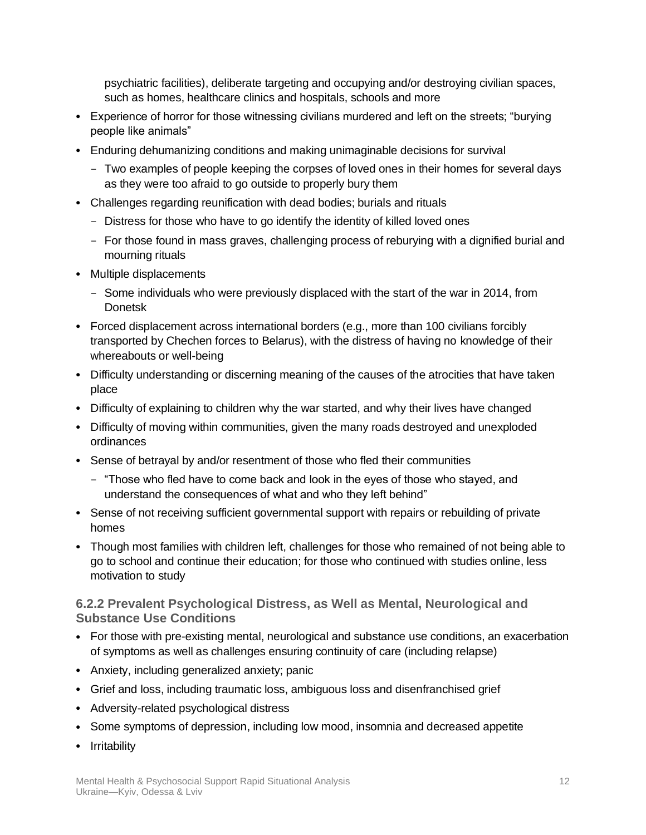psychiatric facilities), deliberate targeting and occupying and/or destroying civilian spaces, such as homes, healthcare clinics and hospitals, schools and more

- Experience of horror for those witnessing civilians murdered and left on the streets; "burying people like animals"
- Enduring dehumanizing conditions and making unimaginable decisions for survival
	- Two examples of people keeping the corpses of loved ones in their homes for several days as they were too afraid to go outside to properly bury them
- Challenges regarding reunification with dead bodies; burials and rituals
	- Distress for those who have to go identify the identity of killed loved ones
	- For those found in mass graves, challenging process of reburying with a dignified burial and mourning rituals
- Multiple displacements
	- Some individuals who were previously displaced with the start of the war in 2014, from Donetsk
- Forced displacement across international borders (e.g., more than 100 civilians forcibly transported by Chechen forces to Belarus), with the distress of having no knowledge of their whereabouts or well-being
- Difficulty understanding or discerning meaning of the causes of the atrocities that have taken place
- Difficulty of explaining to children why the war started, and why their lives have changed
- Difficulty of moving within communities, given the many roads destroyed and unexploded ordinances
- Sense of betrayal by and/or resentment of those who fled their communities
	- "Those who fled have to come back and look in the eyes of those who stayed, and understand the consequences of what and who they left behind"
- Sense of not receiving sufficient governmental support with repairs or rebuilding of private homes
- Though most families with children left, challenges for those who remained of not being able to go to school and continue their education; for those who continued with studies online, less motivation to study

## <span id="page-11-0"></span>**6.2.2 Prevalent Psychological Distress, as Well as Mental, Neurological and Substance Use Conditions**

- For those with pre-existing mental, neurological and substance use conditions, an exacerbation of symptoms as well as challenges ensuring continuity of care (including relapse)
- Anxiety, including generalized anxiety; panic
- Grief and loss, including traumatic loss, ambiguous loss and disenfranchised grief
- Adversity-related psychological distress
- Some symptoms of depression, including low mood, insomnia and decreased appetite
- Irritability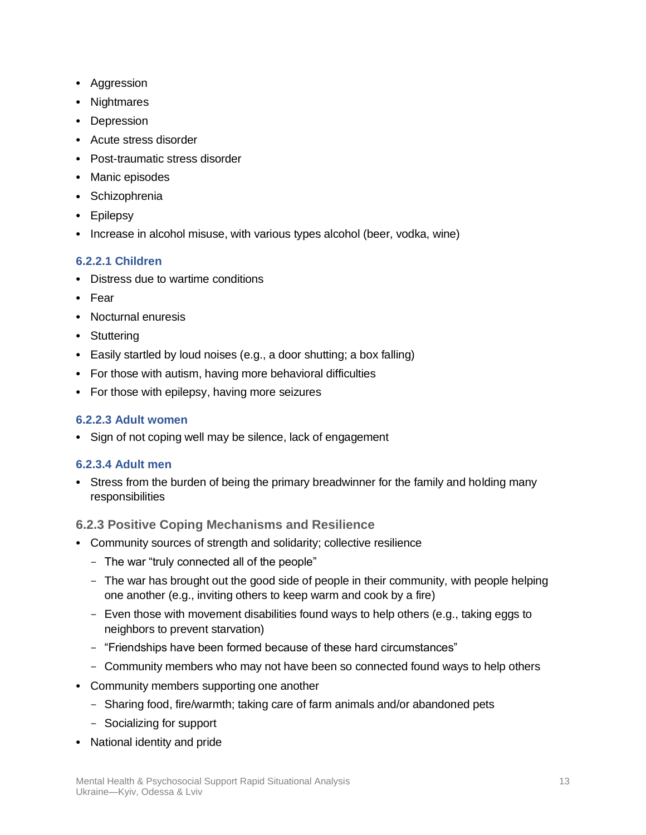- Aggression
- Nightmares
- Depression
- Acute stress disorder
- Post-traumatic stress disorder
- Manic episodes
- Schizophrenia
- Epilepsy
- Increase in alcohol misuse, with various types alcohol (beer, vodka, wine)

#### **6.2.2.1 Children**

- Distress due to wartime conditions
- Fear
- Nocturnal enuresis
- Stuttering
- Easily startled by loud noises (e.g., a door shutting; a box falling)
- For those with autism, having more behavioral difficulties
- For those with epilepsy, having more seizures

### **6.2.2.3 Adult women**

• Sign of not coping well may be silence, lack of engagement

#### **6.2.3.4 Adult men**

• Stress from the burden of being the primary breadwinner for the family and holding many responsibilities

## <span id="page-12-0"></span>**6.2.3 Positive Coping Mechanisms and Resilience**

- Community sources of strength and solidarity; collective resilience
	- The war "truly connected all of the people"
	- The war has brought out the good side of people in their community, with people helping one another (e.g., inviting others to keep warm and cook by a fire)
	- Even those with movement disabilities found ways to help others (e.g., taking eggs to neighbors to prevent starvation)
	- "Friendships have been formed because of these hard circumstances"
	- Community members who may not have been so connected found ways to help others
- Community members supporting one another
	- Sharing food, fire/warmth; taking care of farm animals and/or abandoned pets
	- Socializing for support
- National identity and pride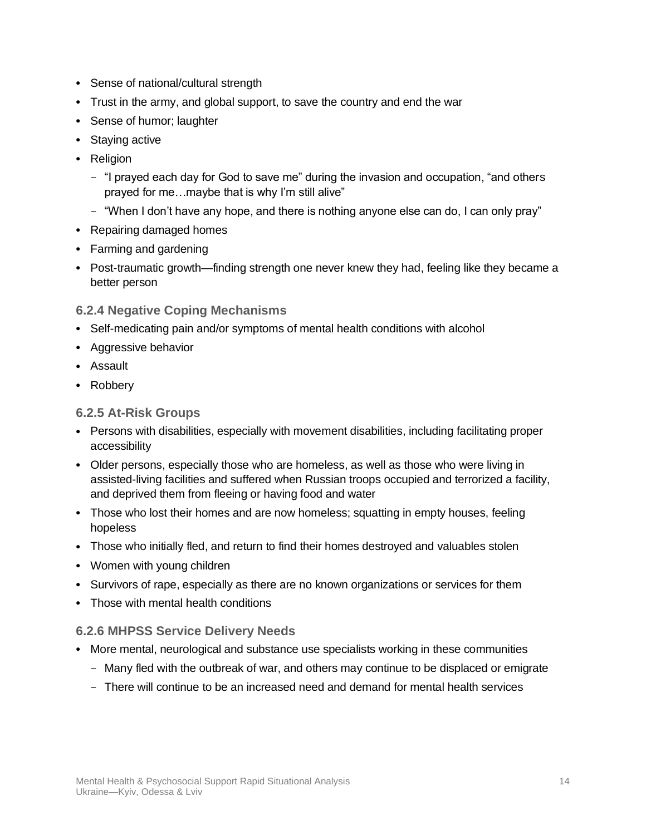- Sense of national/cultural strength
- Trust in the army, and global support, to save the country and end the war
- Sense of humor; laughter
- Staying active
- Religion
	- "I prayed each day for God to save me" during the invasion and occupation, "and others prayed for me…maybe that is why I'm still alive"
	- "When I don't have any hope, and there is nothing anyone else can do, I can only pray"
- Repairing damaged homes
- Farming and gardening
- Post-traumatic growth—finding strength one never knew they had, feeling like they became a better person
- <span id="page-13-0"></span>**6.2.4 Negative Coping Mechanisms**
- Self-medicating pain and/or symptoms of mental health conditions with alcohol
- Aggressive behavior
- Assault
- Robbery

### <span id="page-13-1"></span>**6.2.5 At-Risk Groups**

- Persons with disabilities, especially with movement disabilities, including facilitating proper accessibility
- Older persons, especially those who are homeless, as well as those who were living in assisted-living facilities and suffered when Russian troops occupied and terrorized a facility, and deprived them from fleeing or having food and water
- Those who lost their homes and are now homeless; squatting in empty houses, feeling hopeless
- Those who initially fled, and return to find their homes destroyed and valuables stolen
- Women with young children
- Survivors of rape, especially as there are no known organizations or services for them
- Those with mental health conditions

#### <span id="page-13-2"></span>**6.2.6 MHPSS Service Delivery Needs**

- More mental, neurological and substance use specialists working in these communities
	- Many fled with the outbreak of war, and others may continue to be displaced or emigrate
	- There will continue to be an increased need and demand for mental health services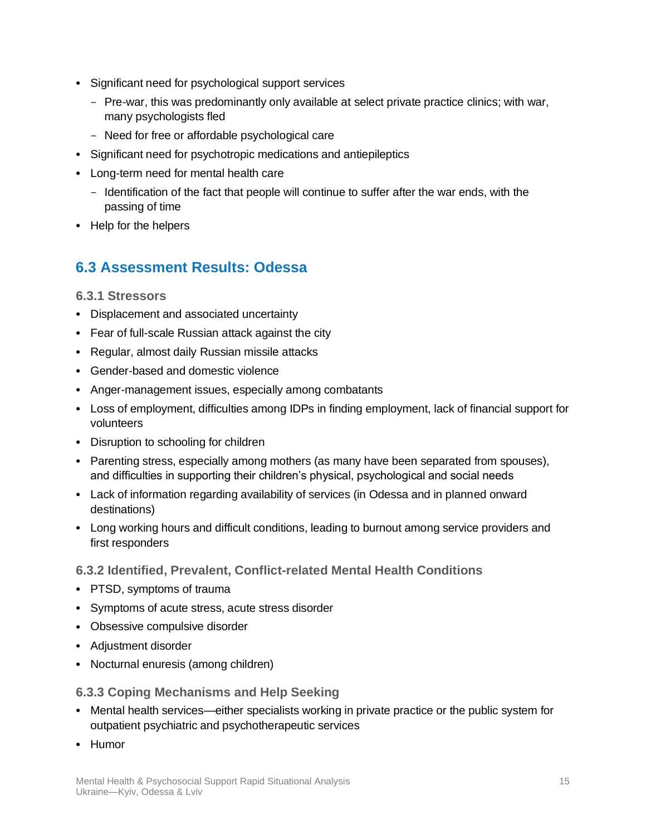- Significant need for psychological support services
	- Pre-war, this was predominantly only available at select private practice clinics; with war, many psychologists fled
	- Need for free or affordable psychological care
- Significant need for psychotropic medications and antiepileptics
- Long-term need for mental health care
	- Identification of the fact that people will continue to suffer after the war ends, with the passing of time
- <span id="page-14-0"></span>• Help for the helpers

## **6.3 Assessment Results: Odessa**

#### <span id="page-14-1"></span>**6.3.1 Stressors**

- Displacement and associated uncertainty
- Fear of full-scale Russian attack against the city
- Regular, almost daily Russian missile attacks
- Gender-based and domestic violence
- Anger-management issues, especially among combatants
- Loss of employment, difficulties among IDPs in finding employment, lack of financial support for volunteers
- Disruption to schooling for children
- Parenting stress, especially among mothers (as many have been separated from spouses), and difficulties in supporting their children's physical, psychological and social needs
- Lack of information regarding availability of services (in Odessa and in planned onward destinations)
- Long working hours and difficult conditions, leading to burnout among service providers and first responders

## <span id="page-14-2"></span>**6.3.2 Identified, Prevalent, Conflict-related Mental Health Conditions**

- PTSD, symptoms of trauma
- Symptoms of acute stress, acute stress disorder
- Obsessive compulsive disorder
- Adjustment disorder
- Nocturnal enuresis (among children)

<span id="page-14-3"></span>**6.3.3 Coping Mechanisms and Help Seeking**

- Mental health services—either specialists working in private practice or the public system for outpatient psychiatric and psychotherapeutic services
- Humor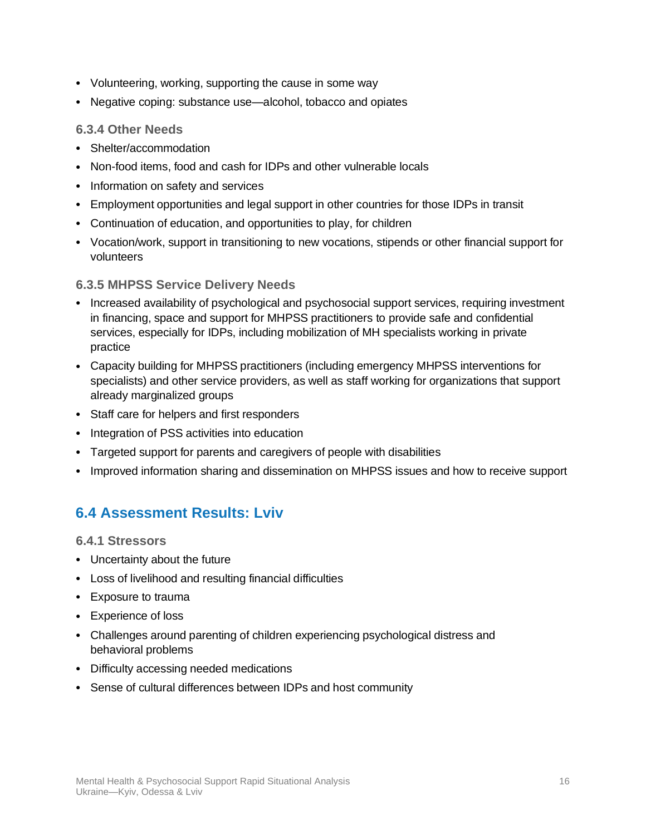- Volunteering, working, supporting the cause in some way
- Negative coping: substance use—alcohol, tobacco and opiates

### <span id="page-15-0"></span>**6.3.4 Other Needs**

- Shelter/accommodation
- Non-food items, food and cash for IDPs and other vulnerable locals
- Information on safety and services
- Employment opportunities and legal support in other countries for those IDPs in transit
- Continuation of education, and opportunities to play, for children
- Vocation/work, support in transitioning to new vocations, stipends or other financial support for volunteers

## <span id="page-15-1"></span>**6.3.5 MHPSS Service Delivery Needs**

- Increased availability of psychological and psychosocial support services, requiring investment in financing, space and support for MHPSS practitioners to provide safe and confidential services, especially for IDPs, including mobilization of MH specialists working in private practice
- Capacity building for MHPSS practitioners (including emergency MHPSS interventions for specialists) and other service providers, as well as staff working for organizations that support already marginalized groups
- Staff care for helpers and first responders
- Integration of PSS activities into education
- Targeted support for parents and caregivers of people with disabilities
- <span id="page-15-2"></span>• Improved information sharing and dissemination on MHPSS issues and how to receive support

## **6.4 Assessment Results: Lviv**

<span id="page-15-3"></span>**6.4.1 Stressors**

- Uncertainty about the future
- Loss of livelihood and resulting financial difficulties
- Exposure to trauma
- Experience of loss
- Challenges around parenting of children experiencing psychological distress and behavioral problems
- Difficulty accessing needed medications
- Sense of cultural differences between IDPs and host community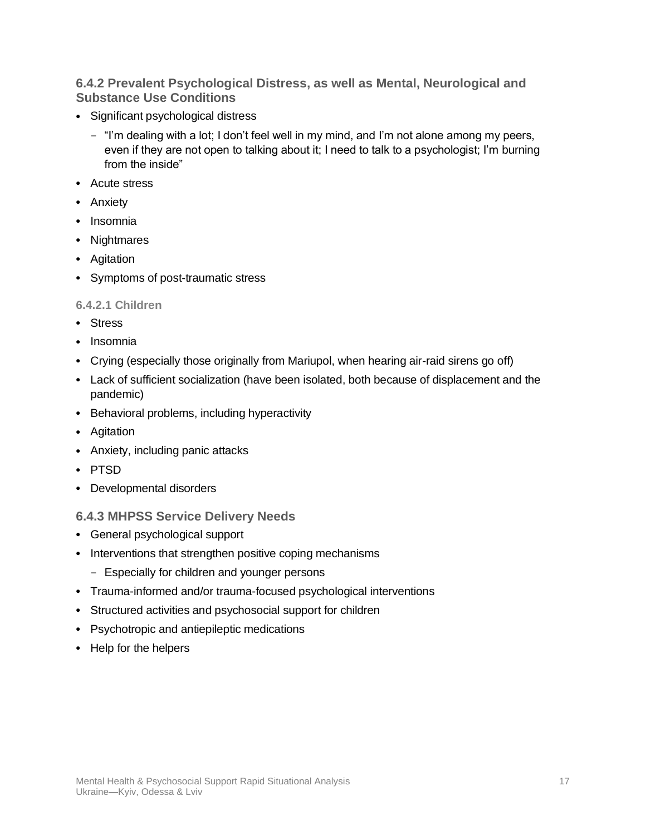### <span id="page-16-0"></span>**6.4.2 Prevalent Psychological Distress, as well as Mental, Neurological and Substance Use Conditions**

- Significant psychological distress
	- "I'm dealing with a lot; I don't feel well in my mind, and I'm not alone among my peers, even if they are not open to talking about it; I need to talk to a psychologist; I'm burning from the inside"
- Acute stress
- Anxiety
- Insomnia
- Nightmares
- Agitation
- Symptoms of post-traumatic stress

#### **6.4.2.1 Children**

- Stress
- Insomnia
- Crying (especially those originally from Mariupol, when hearing air-raid sirens go off)
- Lack of sufficient socialization (have been isolated, both because of displacement and the pandemic)
- Behavioral problems, including hyperactivity
- Agitation
- Anxiety, including panic attacks
- PTSD
- Developmental disorders

#### <span id="page-16-1"></span>**6.4.3 MHPSS Service Delivery Needs**

- General psychological support
- Interventions that strengthen positive coping mechanisms
	- Especially for children and younger persons
- Trauma-informed and/or trauma-focused psychological interventions
- Structured activities and psychosocial support for children
- Psychotropic and antiepileptic medications
- Help for the helpers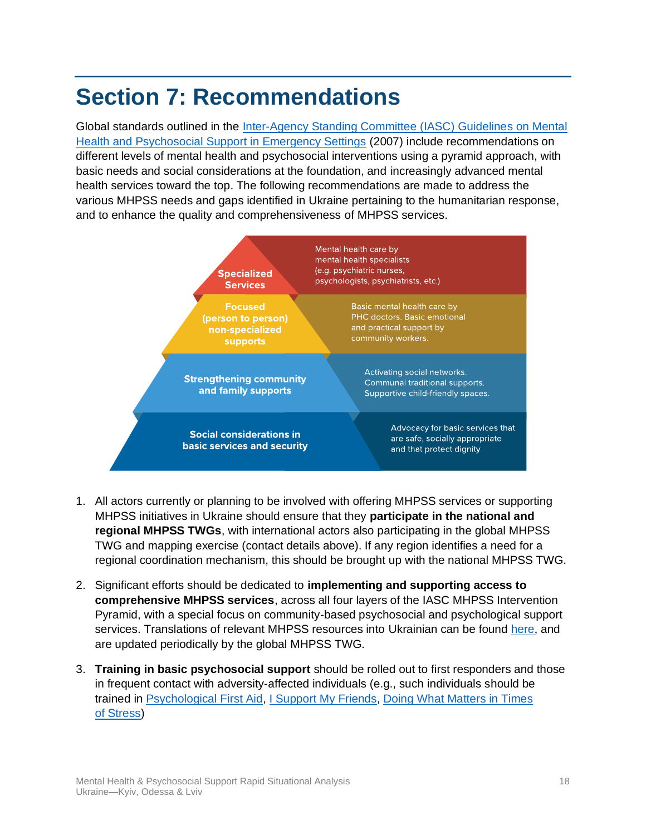# <span id="page-17-0"></span>**Section 7: Recommendations**

Global standards outlined in the [Inter-Agency Standing Committee \(IASC\) Guidelines on Mental](https://interagencystandingcommittee.org/iasc-task-force-mental-health-and-psychosocial-support-emergency-settings/iasc-guidelines-mental-health-and-psychosocial-support-emergency-settings-2007)  [Health and Psychosocial Support in Emergency Settings](https://interagencystandingcommittee.org/iasc-task-force-mental-health-and-psychosocial-support-emergency-settings/iasc-guidelines-mental-health-and-psychosocial-support-emergency-settings-2007) (2007) include recommendations on different levels of mental health and psychosocial interventions using a pyramid approach, with basic needs and social considerations at the foundation, and increasingly advanced mental health services toward the top. The following recommendations are made to address the various MHPSS needs and gaps identified in Ukraine pertaining to the humanitarian response, and to enhance the quality and comprehensiveness of MHPSS services.



- 1. All actors currently or planning to be involved with offering MHPSS services or supporting MHPSS initiatives in Ukraine should ensure that they **participate in the national and regional MHPSS TWGs**, with international actors also participating in the global MHPSS TWG and mapping exercise (contact details above). If any region identifies a need for a regional coordination mechanism, this should be brought up with the national MHPSS TWG.
- 2. Significant efforts should be dedicated to **implementing and supporting access to comprehensive MHPSS services**, across all four layers of the IASC MHPSS Intervention Pyramid, with a special focus on community-based psychosocial and psychological support services. Translations of relevant MHPSS resources into Ukrainian can be found [here,](https://shared.outlook.inky.com/link?domain=interagencystandingcommittee.us12.list-manage.com&t=h.eJx1kEFugzAQRa8SscgqxbHBxERCzVWGmTFY2AbZRlVU9e6F7rsb6T_p_T_f1Z589bxUcylbfgrhYuEEE0d85wKRXJxwDcGVwlzvWarau1w-AsQDqo9IlAS4CPQOl899QKVVY1scmbRt-paV1GZsG3t1NFCvFT86Ar7yoNWjt8qOylS3S7WcJf7kEYpbI_jA5BA8rmnLAr9mVyK_X_8i9ZomgUStAeruyB2Yhgyo0WplHkCSRgQhO61kf9dG1fLU8qkN85ZzndhOad231xTA-XPaCdABxN374yzno-TPLxBEZYM.MEUCIA31XhalKOb7kDEy8hFgKI-D7ZimTB51GllcdxI2WoLzAiEA8I4OakVR31PQ9iGnxz2PlYsRsbxZPjB1UnKYIBjwHLg) and are updated periodically by the global MHPSS TWG.
- 3. **Training in basic psychosocial support** should be rolled out to first responders and those in frequent contact with adversity-affected individuals (e.g., such individuals should be trained in [Psychological First Aid,](https://www.who.int/publications/i/item/9789241548205) [I Support My Friends,](https://www.unicef.org/documents/i-support-my-friends) [Doing What Matters in Times](https://www.who.int/publications/i/item/9789240003927)  [of Stress\)](https://www.who.int/publications/i/item/9789240003927)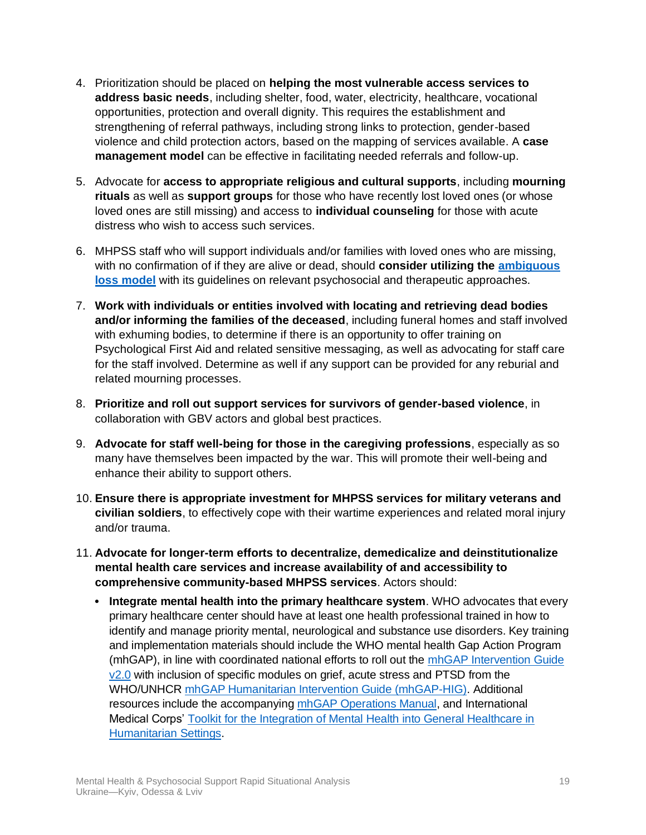- 4. Prioritization should be placed on **helping the most vulnerable access services to address basic needs**, including shelter, food, water, electricity, healthcare, vocational opportunities, protection and overall dignity. This requires the establishment and strengthening of referral pathways, including strong links to protection, gender-based violence and child protection actors, based on the mapping of services available. A **case management model** can be effective in facilitating needed referrals and follow-up.
- 5. Advocate for **access to appropriate religious and cultural supports**, including **mourning rituals** as well as **support groups** for those who have recently lost loved ones (or whose loved ones are still missing) and access to **individual counseling** for those with acute distress who wish to access such services.
- 6. MHPSS staff who will support individuals and/or families with loved ones who are missing, with no confirmation of if they are alive or dead, should **consider utilizing the [ambiguous](https://international-review.icrc.org/articles/families-missing-psychosocial-effects-and-therapeutic-approaches)  [loss model](https://international-review.icrc.org/articles/families-missing-psychosocial-effects-and-therapeutic-approaches)** with its guidelines on relevant psychosocial and therapeutic approaches.
- 7. **Work with individuals or entities involved with locating and retrieving dead bodies and/or informing the families of the deceased**, including funeral homes and staff involved with exhuming bodies, to determine if there is an opportunity to offer training on Psychological First Aid and related sensitive messaging, as well as advocating for staff care for the staff involved. Determine as well if any support can be provided for any reburial and related mourning processes.
- 8. **Prioritize and roll out support services for survivors of gender-based violence**, in collaboration with GBV actors and global best practices.
- 9. **Advocate for staff well-being for those in the caregiving professions**, especially as so many have themselves been impacted by the war. This will promote their well-being and enhance their ability to support others.
- 10. **Ensure there is appropriate investment for MHPSS services for military veterans and civilian soldiers**, to effectively cope with their wartime experiences and related moral injury and/or trauma.
- 11. **Advocate for longer-term efforts to decentralize, demedicalize and deinstitutionalize mental health care services and increase availability of and accessibility to comprehensive community-based MHPSS services**. Actors should:
	- **Integrate mental health into the primary healthcare system**. WHO advocates that every primary healthcare center should have at least one health professional trained in how to identify and manage priority mental, neurological and substance use disorders. Key training and implementation materials should include the WHO mental health Gap Action Program (mhGAP), in line with coordinated national efforts to roll out the [mhGAP Intervention Guide](https://www.who.int/publications/i/item/9789241549790)  [v2.0](https://www.who.int/publications/i/item/9789241549790) with inclusion of specific modules on grief, acute stress and PTSD from the WHO/UNHCR [mhGAP Humanitarian Intervention Guide \(mhGAP-HIG\).](https://www.who.int/publications/i/item/9789241548922) Additional resources include the accompanyin[g mhGAP Operations Manual,](https://www.who.int/publications/i/item/mhgap-operations-manual) and International Medical Corps' [Toolkit for the Integration of Mental Health into General Healthcare in](https://www.mhinnovation.net/collaborations/IMC-Mental-Health-Integration-Toolkit)  [Humanitarian Settings.](https://www.mhinnovation.net/collaborations/IMC-Mental-Health-Integration-Toolkit)